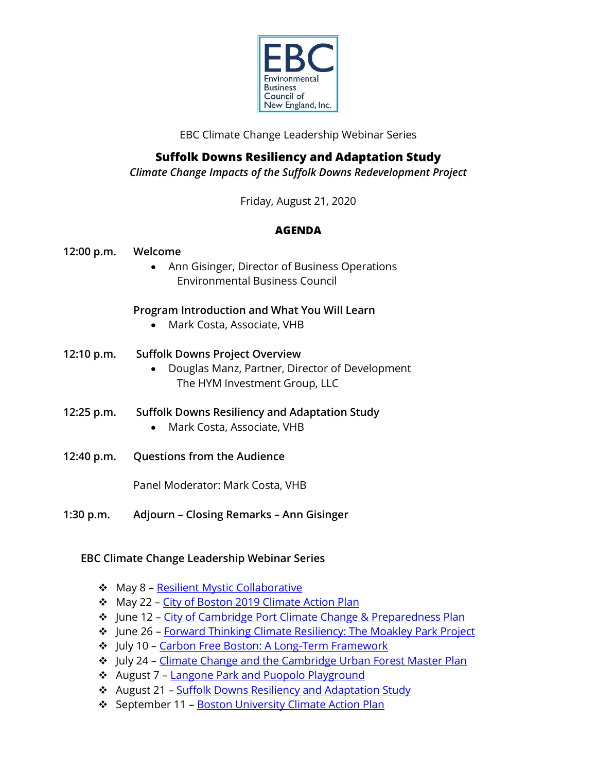

EBC Climate Change Leadership Webinar Series

# **Suffolk Downs Resiliency and Adaptation Study**

*Climate Change Impacts of the Suffolk Downs Redevelopment Project*

Friday, August 21, 2020

## **AGENDA**

- **12:00 p.m. Welcome**
	- Ann Gisinger, Director of Business Operations Environmental Business Council

### **Program Introduction and What You Will Learn**

- Mark Costa, Associate, VHB
- **12:10 p.m. Suffolk Downs Project Overview**
	- Douglas Manz, Partner, Director of Development The HYM Investment Group, LLC
- **12:25 p.m. Suffolk Downs Resiliency and Adaptation Study**
	- Mark Costa, Associate, VHB
- **12:40 p.m. Questions from the Audience**

Panel Moderator: Mark Costa, VHB

**1:30 p.m. Adjourn – Closing Remarks – Ann Gisinger**

## **EBC Climate Change Leadership Webinar Series**

- ❖ May 8 [Resilient Mystic Collaborative](https://ebcne.org/event/ebc-climate-change-leadership-webinar-series-resilient-mystic-collaborative/?instance_id=12582)
- ❖ May 22 [City of Boston 2019 Climate Action Plan](https://ebcne.org/event/ebc-climate-change-leadership-webinar-series-city-of-boston-2019-climate-action-plan/?instance_id=12587)
- ❖ June 12 [City of Cambridge Port Climate Change & Preparedness Plan](https://ebcne.org/event/ebc-climate-change-leadership-webinar-series-city-of-cambridge-port-climate-change-preparedness-plan/?instance_id=12731)
- ❖ June 26 [Forward Thinking Climate Resiliency: The Moakley Park Project](https://ebcne.org/event/ebc-climate-change-leadership-webinar-series-forward-thinking-climate-resiliency-the-moakley-park-project/?instance_id=12681)
- ❖ July 10 [Carbon Free Boston: A Long-Term Framework](https://ebcne.org/event/ebc-climate-change-leadership-webinar-series-carbon-free-boston-a-long-term-framework/?instance_id=12773)
- ❖ July 24 [Climate Change and the Cambridge Urban Forest Master Plan](https://ebcne.org/event/ebc-climate-change-leadership-webinar-series-climate-change-and-the-cambridge-urban-forest-master-plan/?instance_id=12739)
- ❖ August 7 [Langone Park and Puopolo Playground](https://ebcne.org/event/ebc-climate-change-webinar-series-refurbishment-of-langone-park-puopolo-playground/?instance_id=12914)
- ❖ August 21 [Suffolk Downs Resiliency and Adaptation Study](https://ebcne.org/event/ebc-climate-change-leadership-webinar-series-suffolk-downs-resiliency-and-adaptation-study/?instance_id=12915)
- ❖ September 11 [Boston University Climate Action Plan](https://ebcne.org/event/ebc-climate-change-leadership-webinar-series-boston-university-climate-action-plan/?instance_id=13029)